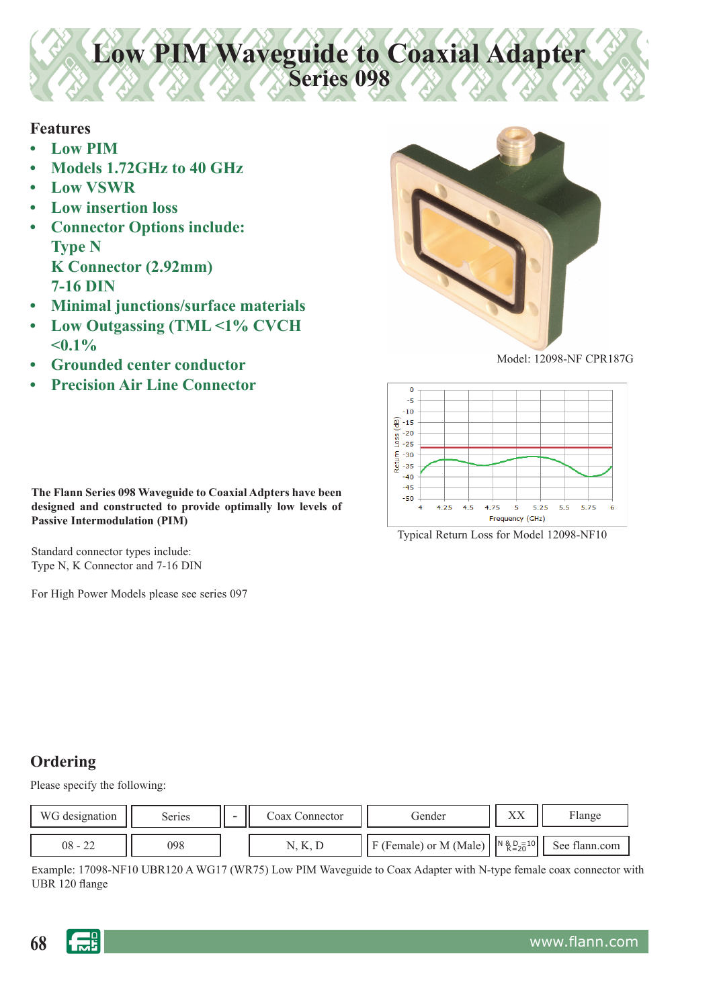**Low PIM Waveguide to Coaxial Adapter Series 098**

#### **Features**

- **Low PIM**
- **Models 1.72GHz to 40 GHz**
- **Low VSWR**
- **Low insertion loss**
- **Connector Options include: Type N K Connector (2.92mm) 7-16 DIN**
- **Minimal junctions/surface materials**
- **Low Outgassing (TML <1% CVCH <0.1%**
- **Grounded center conductor**
- **Precision Air Line Connector**



Model: 12098-NF CPR187G



Typical Return Loss for Model 12098-NF10

**The Flann Series 098 Waveguide to Coaxial Adpters have been designed and constructed to provide optimally low levels of Passive Intermodulation (PIM)**

Standard connector types include: Type N, K Connector and 7-16 DIN

For High Power Models please see series 097

# **Ordering**

Please specify the following:

| WG designation | Series | - | Coax Connector | Gender                           | $\mathbf{v}\mathbf{v}$<br>$\Lambda\Lambda$ | Flange        |
|----------------|--------|---|----------------|----------------------------------|--------------------------------------------|---------------|
| $08 - 22$      | 098    |   | IV, IV, L      | (Female) or M (Male)<br><u>ы</u> | $N \& D = 10$<br>$K = 20$                  | See flann.com |

Example: 17098-NF10 UBR120 A WG17 (WR75) Low PIM Waveguide to Coax Adapter with N-type female coax connector with UBR 120 flange